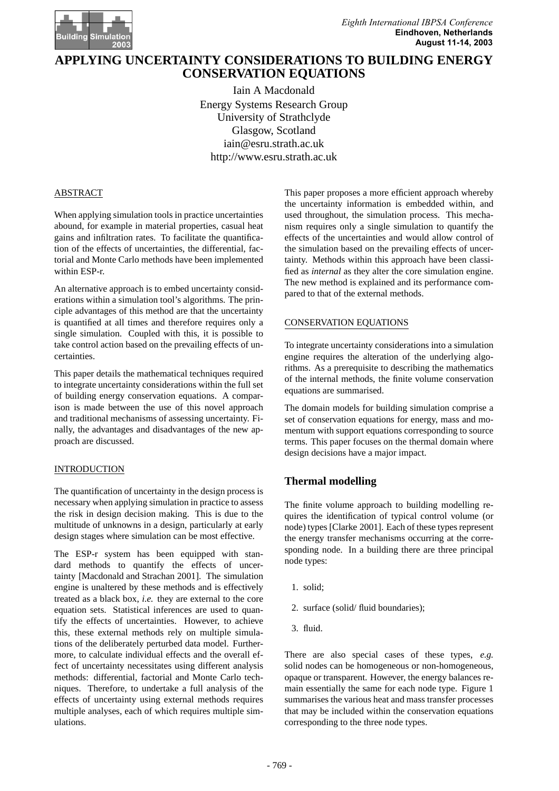

# **APPLYING UNCERTAINTY CONSIDERATIONS TO BUILDING ENERGY CONSERVATION EQUATIONS**

Iain A Macdonald Energy Systems Research Group University of Strathclyde Glasgow, Scotland iain@esru.strath.ac.uk http://www.esru.strath.ac.uk

## ABSTRACT

When applying simulation tools in practice uncertainties abound, for example in material properties, casual heat gains and infiltration rates. To facilitate the quantification of the effects of uncertainties, the differential, factorial and Monte Carlo methods have been implemented within ESP-r.

An alternative approach is to embed uncertainty considerations within a simulation tool's algorithms. The principle advantages of this method are that the uncertainty is quantified at all times and therefore requires only a single simulation. Coupled with this, it is possible to take control action based on the prevailing effects of uncertainties.

This paper details the mathematical techniques required to integrate uncertainty considerations within the full set of building energy conservation equations. A comparison is made between the use of this novel approach and traditional mechanisms of assessing uncertainty. Finally, the advantages and disadvantages of the new approach are discussed.

# INTRODUCTION

The quantification of uncertainty in the design process is necessary when applying simulation in practice to assess the risk in design decision making. This is due to the multitude of unknowns in a design, particularly at early design stages where simulation can be most effective.

The ESP-r system has been equipped with standard methods to quantify the effects of uncertainty [Macdonald and Strachan 2001]. The simulation engine is unaltered by these methods and is effectively treated as a black box, *i.e.* they are external to the core equation sets. Statistical inferences are used to quantify the effects of uncertainties. However, to achieve this, these external methods rely on multiple simulations of the deliberately perturbed data model. Furthermore, to calculate individual effects and the overall effect of uncertainty necessitates using different analysis methods: differential, factorial and Monte Carlo techniques. Therefore, to undertake a full analysis of the effects of uncertainty using external methods requires multiple analyses, each of which requires multiple simulations.

This paper proposes a more efficient approach whereby the uncertainty information is embedded within, and used throughout, the simulation process. This mechanism requires only a single simulation to quantify the effects of the uncertainties and would allow control of the simulation based on the prevailing effects of uncertainty. Methods within this approach have been classified as *internal* as they alter the core simulation engine. The new method is explained and its performance compared to that of the external methods.

## CONSERVATION EQUATIONS

To integrate uncertainty considerations into a simulation engine requires the alteration of the underlying algorithms. As a prerequisite to describing the mathematics of the internal methods, the finite volume conservation equations are summarised.

The domain models for building simulation comprise a set of conservation equations for energy, mass and momentum with support equations corresponding to source terms. This paper focuses on the thermal domain where design decisions have a major impact.

# **Thermal modelling**

The finite volume approach to building modelling requires the identification of typical control volume (or node) types [Clarke 2001]. Each of these types represent the energy transfer mechanisms occurring at the corresponding node. In a building there are three principal node types:

- 1. solid;
- 2. surface (solid/ fluid boundaries);
- 3. fluid.

There are also special cases of these types, *e.g.* solid nodes can be homogeneous or non-homogeneous, opaque or transparent. However, the energy balances remain essentially the same for each node type. Figure 1 summarises the various heat and mass transfer processes that may be included within the conservation equations corresponding to the three node types.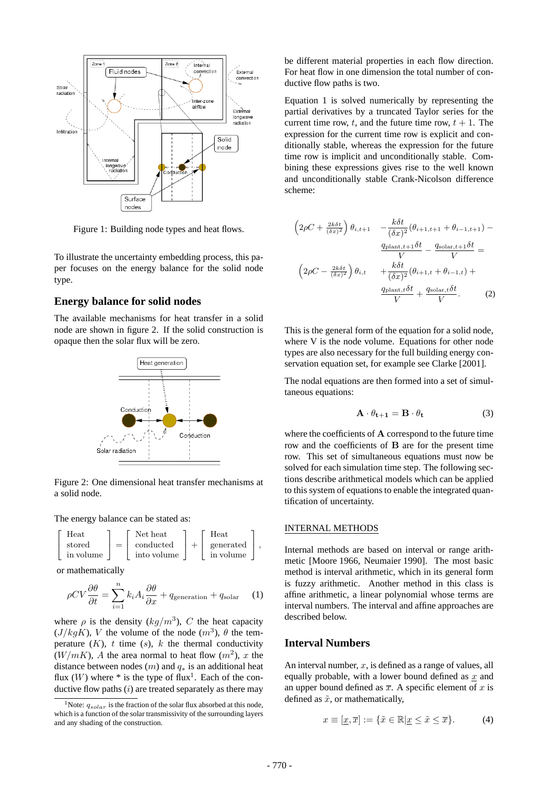

Figure 1: Building node types and heat flows.

To illustrate the uncertainty embedding process, this paper focuses on the energy balance for the solid node type.

### **Energy balance for solid nodes**

The available mechanisms for heat transfer in a solid node are shown in figure 2. If the solid construction is opaque then the solar flux will be zero.



Figure 2: One dimensional heat transfer mechanisms at a solid node.

The energy balance can be stated as:

$$
\left[\begin{array}{c}\text{Heat} \\ \text{stored} \\ \text{in volume}\end{array}\right] = \left[\begin{array}{c}\text{Net heat} \\ \text{conducted} \\ \text{into volume}\end{array}\right] + \left[\begin{array}{c}\text{Heat} \\ \text{generated} \\ \text{in volume}\end{array}\right],
$$

or mathematically

$$
\rho CV \frac{\partial \theta}{\partial t} = \sum_{i=1}^{n} k_i A_i \frac{\partial \theta}{\partial x} + q_{\text{generation}} + q_{\text{solar}} \quad (1)
$$

where  $\rho$  is the density  $(kg/m^3)$ , C the heat capacity  $(J/kgK)$ , V the volume of the node  $(m^3)$ ,  $\theta$  the temperature  $(K)$ ,  $t$  time  $(s)$ ,  $k$  the thermal conductivity  $(W/mK)$ , A the area normal to heat flow  $(m^2)$ , x the distance between nodes  $(m)$  and  $q_*$  is an additional heat flux  $(W)$  where  $*$  is the type of flux<sup>1</sup>. Each of the conductive flow paths  $(i)$  are treated separately as there may

be different material properties in each flow direction. For heat flow in one dimension the total number of conductive flow paths is two.

Equation 1 is solved numerically by representing the partial derivatives by a truncated Taylor series for the current time row, t, and the future time row,  $t + 1$ . The expression for the current time row is explicit and conditionally stable, whereas the expression for the future time row is implicit and unconditionally stable. Combining these expressions gives rise to the well known and unconditionally stable Crank-Nicolson difference scheme:

$$
\left(2\rho C + \frac{2k\delta t}{(\delta x)^2}\right)\theta_{i,t+1} - \frac{k\delta t}{(\delta x)^2}(\theta_{i+1,t+1} + \theta_{i-1,t+1}) -
$$

$$
\frac{q_{\text{plant},t+1}\delta t}{V} - \frac{q_{\text{ solar},t+1}\delta t}{V} =
$$

$$
\left(2\rho C - \frac{2k\delta t}{(\delta x)^2}\right)\theta_{i,t} + \frac{k\delta t}{(\delta x)^2}(\theta_{i+1,t} + \theta_{i-1,t}) +
$$

$$
\frac{q_{\text{plant},t}\delta t}{V} + \frac{q_{\text{ solar},t}\delta t}{V}.
$$
 (2)

This is the general form of the equation for a solid node, where V is the node volume. Equations for other node types are also necessary for the full building energy conservation equation set, for example see Clarke [2001].

The nodal equations are then formed into a set of simultaneous equations:

$$
\mathbf{A} \cdot \theta_{t+1} = \mathbf{B} \cdot \theta_t \tag{3}
$$

where the coefficients of **A** correspond to the future time row and the coefficients of **B** are for the present time row. This set of simultaneous equations must now be solved for each simulation time step. The following sections describe arithmetical models which can be applied to this system of equations to enable the integrated quantification of uncertainty.

# INTERNAL METHODS

Internal methods are based on interval or range arithmetic [Moore 1966, Neumaier 1990]. The most basic method is interval arithmetic, which in its general form is fuzzy arithmetic. Another method in this class is affine arithmetic, a linear polynomial whose terms are interval numbers. The interval and affine approaches are described below.

# **Interval Numbers**

An interval number,  $x$ , is defined as a range of values, all equally probable, with a lower bound defined as  $x$  and an upper bound defined as  $\overline{x}$ . A specific element of x is defined as  $\tilde{x}$ , or mathematically,

$$
x \equiv [\underline{x}, \overline{x}] := \{ \tilde{x} \in \mathbb{R} | \underline{x} \le \tilde{x} \le \overline{x} \}.
$$
 (4)

<sup>&</sup>lt;sup>1</sup>Note:  $q_{solar}$  is the fraction of the solar flux absorbed at this node. which is a function of the solar transmissivity of the surrounding layers and any shading of the construction.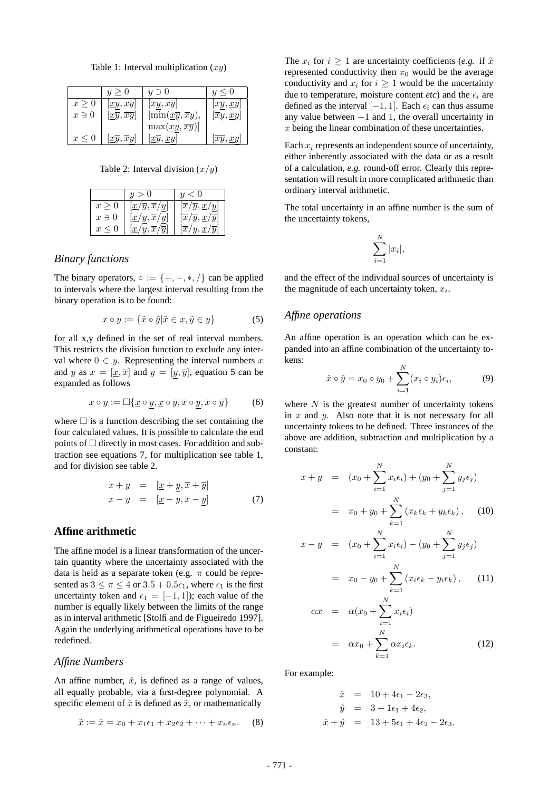Table 1: Interval multiplication  $(xy)$ 

|            | y>0                                            | $y \ni 0$                                                     | $y \leq 0$                     |
|------------|------------------------------------------------|---------------------------------------------------------------|--------------------------------|
| x > 0      | $ xy,\overline{xy} $                           | $[\overline{xy}, \overline{xy}]$                              | $\overline{xy}, \overline{xy}$ |
| $x \ni 0$  | $\left[ \underline{xy}, \overline{xy} \right]$ | $\left[\min(\underline{x}\overline{y},\overline{x}y),\right]$ | $\overline{xy}, \overline{xy}$ |
|            |                                                | $\max(\underline{xy}, \overline{xy})$                         |                                |
| $x \leq 0$ | $\vert x\overline{y},\overline{x}y\vert$       | $\lfloor x \overline{y}, xy \rfloor$                          | $\overline{xy}, xy$            |

Table 2: Interval division  $(x/y)$ 

| $[\overline{x}/\overline{y}, \underline{x}/y]$<br>$[x/\overline{y}, \overline{x}/y]$<br>$x \geq 0$<br>$[\underline{x}/\underline{y}, \overline{x}/y]$<br>$[\overline{x}/\overline{y}, \underline{x}/\overline{y}]$<br>$x \ni 0$ |            | y>0                                                      | < 0                                                       |
|---------------------------------------------------------------------------------------------------------------------------------------------------------------------------------------------------------------------------------|------------|----------------------------------------------------------|-----------------------------------------------------------|
|                                                                                                                                                                                                                                 |            |                                                          |                                                           |
|                                                                                                                                                                                                                                 |            |                                                          |                                                           |
|                                                                                                                                                                                                                                 | $x \leq 0$ | $\left[\underline{x}/y,\overline{x}/\overline{y}\right]$ | $\left[\overline{x}/y, \underline{x}/\overline{y}\right]$ |

## *Binary functions*

The binary operators,  $\circ := \{+, -, *, /\}$  can be applied to intervals where the largest interval resulting from the binary operation is to be found:

$$
x \circ y := \{ \tilde{x} \circ \tilde{y} | \tilde{x} \in x, \tilde{y} \in y \}
$$
 (5)

for all x,y defined in the set of real interval numbers. This restricts the division function to exclude any interval where  $0 \in y$ . Representing the interval numbers x and y as  $x = [\underline{x}, \overline{x}]$  and  $y = [y, \overline{y}]$ , equation 5 can be expanded as follows

$$
x \circ y := \Box \{ \underline{x} \circ \underline{y}, \underline{x} \circ \overline{y}, \overline{x} \circ \underline{y}, \overline{x} \circ \overline{y} \} \tag{6}
$$

where  $\Box$  is a function describing the set containing the four calculated values. It is possible to calculate the end points of  $\Box$  directly in most cases. For addition and subtraction see equations 7, for multiplication see table 1, and for division see table 2.

$$
x + y = [x + y, \overline{x} + \overline{y}]
$$
  

$$
x - y = [x - \overline{y}, \overline{x} - y]
$$
 (7)

# **Affine arithmetic**

The affine model is a linear transformation of the uncertain quantity where the uncertainty associated with the data is held as a separate token (e.g.  $\pi$  could be represented as  $3 \leq \pi \leq 4$  or  $3.5 + 0.5\epsilon_1$ , where  $\epsilon_1$  is the first uncertainty token and  $\epsilon_1 = [-1, 1]$ ; each value of the number is equally likely between the limits of the range as in interval arithmetic [Stolfi and de Figueiredo 1997]. Again the underlying arithmetical operations have to be redefined.

## *Affine Numbers*

An affine number,  $\hat{x}$ , is defined as a range of values, all equally probable, via a first-degree polynomial. A specific element of  $\hat{x}$  is defined as  $\tilde{x}$ , or mathematically

$$
\tilde{x} := \hat{x} = x_0 + x_1 \epsilon_1 + x_2 \epsilon_2 + \dots + x_n \epsilon_n. \tag{8}
$$

The  $x_i$  for  $i \geq 1$  are uncertainty coefficients (*e.g.* if  $\tilde{x}$ represented conductivity then  $x_0$  would be the average conductivity and  $x_i$  for  $i \geq 1$  would be the uncertainty due to temperature, moisture content  $etc$ ) and the  $\epsilon_i$  are defined as the interval  $[-1, 1]$ . Each  $\epsilon_i$  can thus assume any value between  $-1$  and 1, the overall uncertainty in x being the linear combination of these uncertainties.

Each  $x_i$  represents an independent source of uncertainty, either inherently associated with the data or as a result of a calculation, *e.g.* round-off error. Clearly this representation will result in more complicated arithmetic than ordinary interval arithmetic.

The total uncertainty in an affine number is the sum of the uncertainty tokens,

$$
\sum_{i=1}^{N} |x_i|,
$$

and the effect of the individual sources of uncertainty is the magnitude of each uncertainty token,  $x_i$ .

#### *Affine operations*

An affine operation is an operation which can be expanded into an affine combination of the uncertainty tokens:

$$
\hat{x} \circ \hat{y} = x_0 \circ y_0 + \sum_{i=1}^{N} (x_i \circ y_i) \epsilon_i, \tag{9}
$$

where  $N$  is the greatest number of uncertainty tokens in  $x$  and  $y$ . Also note that it is not necessary for all uncertainty tokens to be defined. Three instances of the above are addition, subtraction and multiplication by a constant:

$$
x + y = (x_0 + \sum_{i=1}^{N} x_i \epsilon_i) + (y_0 + \sum_{j=1}^{N} y_j \epsilon_j)
$$
  
\n
$$
= x_0 + y_0 + \sum_{k=1}^{N} (x_k \epsilon_k + y_k \epsilon_k), \quad (10)
$$
  
\n
$$
x - y = (x_0 + \sum_{i=1}^{N} x_i \epsilon_i) - (y_0 + \sum_{j=1}^{N} y_j \epsilon_j)
$$
  
\n
$$
= x_0 - y_0 + \sum_{k=1}^{N} (x_i \epsilon_k - y_i \epsilon_k), \quad (11)
$$
  
\n
$$
\alpha x = \alpha (x_0 + \sum_{i=1}^{N} x_i \epsilon_i)
$$
  
\n
$$
= \alpha x_0 + \sum_{k=1}^{N} \alpha x_i \epsilon_k.
$$
  
\n(12)

For example:

$$
\hat{x} = 10 + 4\epsilon_1 - 2\epsilon_3,\n\hat{y} = 3 + 1\epsilon_1 + 4\epsilon_2,\n\hat{x} + \hat{y} = 13 + 5\epsilon_1 + 4\epsilon_2 - 2\epsilon_3.
$$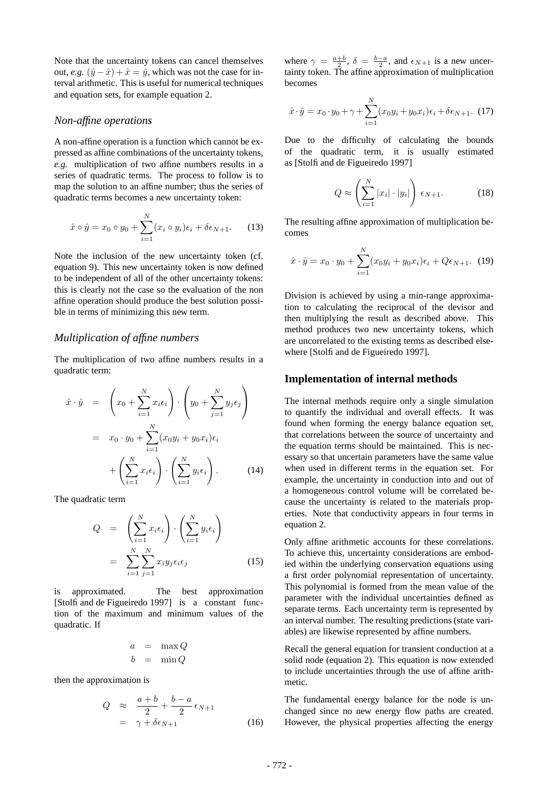Note that the uncertainty tokens can cancel themselves out, *e.g.*  $(\hat{y} - \hat{x}) + \hat{x} = \hat{y}$ , which was not the case for interval arithmetic. This is useful for numerical techniques and equation sets, for example equation 2.

### *Non-affine operations*

A non-affine operation is a function which cannot be expressed as affine combinations of the uncertainty tokens, *e.g.* multiplication of two affine numbers results in a series of quadratic terms. The process to follow is to map the solution to an affine number; thus the series of quadratic terms becomes a new uncertainty token:

$$
\hat{x} \circ \hat{y} = x_0 \circ y_0 + \sum_{i=1}^{N} (x_i \circ y_i)\epsilon_i + \delta \epsilon_{N+1}.
$$
 (13)

Note the inclusion of the new uncertainty token (cf. equation 9). This new uncertainty token is now defined to be independent of all of the other uncertainty tokens: this is clearly not the case so the evaluation of the non affine operation should produce the best solution possible in terms of minimizing this new term.

#### *Multiplication of affine numbers*

The multiplication of two affine numbers results in a quadratic term:

$$
\hat{x} \cdot \hat{y} = \left(x_0 + \sum_{i=1}^N x_i \epsilon_i\right) \cdot \left(y_0 + \sum_{j=1}^N y_j \epsilon_j\right)
$$

$$
= x_0 \cdot y_0 + \sum_{i=1}^N (x_0 y_i + y_0 x_i) \epsilon_i
$$

$$
+ \left(\sum_{i=1}^N x_i \epsilon_i\right) \cdot \left(\sum_{i=1}^N y_i \epsilon_i\right). \tag{14}
$$

The quadratic term

$$
Q = \left(\sum_{i=1}^{N} x_i \epsilon_i\right) \cdot \left(\sum_{i=1}^{N} y_i \epsilon_i\right)
$$

$$
= \sum_{i=1}^{N} \sum_{j=1}^{N} x_i y_j \epsilon_i \epsilon_j \qquad (15)
$$

is approximated. The best approximation [Stolfi and de Figueiredo 1997] is a constant function of the maximum and minimum values of the quadratic. If

$$
\begin{array}{rcl} a & = & \max Q \\ b & = & \min Q \end{array}
$$

then the approximation is

$$
Q \approx \frac{a+b}{2} + \frac{b-a}{2} \epsilon_{N+1}
$$
  
=  $\gamma + \delta \epsilon_{N+1}$  (16)

where  $\gamma = \frac{a+b}{2}$ ,  $\delta = \frac{b-a}{2}$ , and  $\epsilon_{N+1}$  is a new uncertainty token. The affine approximation of multiplication becomes

$$
\hat{x} \cdot \hat{y} = x_0 \cdot y_0 + \gamma + \sum_{i=1}^{N} (x_0 y_i + y_0 x_i) \epsilon_i + \delta \epsilon_{N+1}.
$$
 (17)

Due to the difficulty of calculating the bounds of the quadratic term, it is usually estimated as [Stolfi and de Figueiredo 1997]

$$
Q \approx \left(\sum_{i=1}^{N} |x_i| \cdot |y_i|\right) \epsilon_{N+1}.\tag{18}
$$

The resulting affine approximation of multiplication becomes

$$
\hat{x} \cdot \hat{y} = x_0 \cdot y_0 + \sum_{i=1}^{N} (x_0 y_i + y_0 x_i) \epsilon_i + Q \epsilon_{N+1}.
$$
 (19)

Division is achieved by using a min-range approximation to calculating the reciprocal of the devisor and then multiplying the result as described above. This method produces two new uncertainty tokens, which are uncorrelated to the existing terms as described elsewhere [Stolfi and de Figueiredo 1997].

#### **Implementation of internal methods**

The internal methods require only a single simulation to quantify the individual and overall effects. It was found when forming the energy balance equation set, that correlations between the source of uncertainty and the equation terms should be maintained. This is necessary so that uncertain parameters have the same value when used in different terms in the equation set. For example, the uncertainty in conduction into and out of a homogeneous control volume will be correlated because the uncertainty is related to the materials properties. Note that conductivity appears in four terms in equation 2.

Only affine arithmetic accounts for these correlations. To achieve this, uncertainty considerations are embodied within the underlying conservation equations using a first order polynomial representation of uncertainty. This polynomial is formed from the mean value of the parameter with the individual uncertainties defined as separate terms. Each uncertainty term is represented by an interval number. The resulting predictions (state variables) are likewise represented by affine numbers.

Recall the general equation for transient conduction at a solid node (equation 2). This equation is now extended to include uncertainties through the use of affine arithmetic.

The fundamental energy balance for the node is unchanged since no new energy flow paths are created. However, the physical properties affecting the energy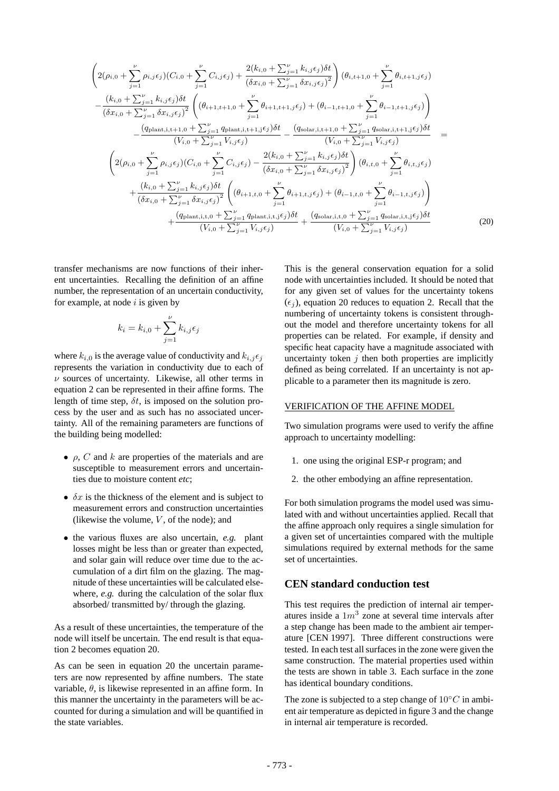$$
\left(2(\rho_{i,0}+\sum_{j=1}^{\nu}\rho_{i,j}\epsilon_{j})(C_{i,0}+\sum_{j=1}^{\nu}C_{i,j}\epsilon_{j})+\frac{2(k_{i,0}+\sum_{j=1}^{\nu}k_{i,j}\epsilon_{j})\delta t}{(\delta x_{i,0}+\sum_{j=1}^{\nu}\delta x_{i,j}\epsilon_{j})^{2}}\right)(\theta_{i,t+1,0}+\sum_{j=1}^{\nu}\theta_{i,t+1,j}\epsilon_{j})
$$
\n
$$
-\frac{(k_{i,0}+\sum_{j=1}^{\nu}k_{i,j}\epsilon_{j})\delta t}{(\delta x_{i,0}+\sum_{j=1}^{\nu}\delta x_{i,j}\epsilon_{j})^{2}}\left((\theta_{i+1,t+1,0}+\sum_{j=1}^{\nu}\theta_{i+1,t+1,j}\epsilon_{j})+(\theta_{i-1,t+1,0}+\sum_{j=1}^{\nu}\theta_{i-1,t+1,j}\epsilon_{j})\right)
$$
\n
$$
-\frac{(q_{\text{plant},i,t+1,0}+\sum_{j=1}^{\nu}q_{\text{plant},i,t+1,j}\epsilon_{j})\delta t}{(V_{i,0}+\sum_{j=1}^{\nu}V_{i,j}\epsilon_{j})}-\frac{(q_{\text{ solar},i,t+1,0}+\sum_{j=1}^{\nu}q_{\text{ solar},i,t+1,j}\epsilon_{j})\delta t}{(V_{i,0}+\sum_{j=1}^{\nu}V_{i,j}\epsilon_{j})}=\n\left(2(\rho_{i,0}+\sum_{j=1}^{\nu}\rho_{i,j}\epsilon_{j})(C_{i,0}+\sum_{j=1}^{\nu}C_{i,j}\epsilon_{j})-\frac{2(k_{i,0}+\sum_{j=1}^{\nu}k_{i,j}\epsilon_{j})\delta t}{(\delta x_{i,0}+\sum_{j=1}^{\nu}\delta x_{i,j}\epsilon_{j})^{2}}\right)(\theta_{i,t,0}+\sum_{j=1}^{\nu}\theta_{i,t,j}\epsilon_{j})
$$
\n
$$
+\frac{(k_{i,0}+\sum_{j=1}^{\nu}k_{i,j}\epsilon_{j})\delta t}{(\delta x_{i,0}+\sum_{j=1}^{\nu}\delta x_{i,j}\epsilon_{j})^{2}}\left((\theta_{i+1,t,0}+\sum_{j=1}^{\nu}\theta_{i+1,t,j}\epsilon_{j})+(\theta_{i-1,t,0}+\sum_{j=
$$

transfer mechanisms are now functions of their inherent uncertainties. Recalling the definition of an affine number, the representation of an uncertain conductivity, for example, at node  $i$  is given by

$$
k_i = k_{i,0} + \sum_{j=1}^{\nu} k_{i,j} \epsilon_j
$$

where  $k_{i,0}$  is the average value of conductivity and  $k_{i,j} \epsilon_j$ represents the variation in conductivity due to each of  $\nu$  sources of uncertainty. Likewise, all other terms in equation 2 can be represented in their affine forms. The length of time step,  $\delta t$ , is imposed on the solution process by the user and as such has no associated uncertainty. All of the remaining parameters are functions of the building being modelled:

- $\rho$ , C and k are properties of the materials and are susceptible to measurement errors and uncertainties due to moisture content *etc*;
- $\delta x$  is the thickness of the element and is subject to measurement errors and construction uncertainties (likewise the volume,  $V$ , of the node); and
- the various fluxes are also uncertain, *e.g.* plant losses might be less than or greater than expected, and solar gain will reduce over time due to the accumulation of a dirt film on the glazing. The magnitude of these uncertainties will be calculated elsewhere, *e.g.* during the calculation of the solar flux absorbed/ transmitted by/ through the glazing.

As a result of these uncertainties, the temperature of the node will itself be uncertain. The end result is that equation 2 becomes equation 20.

As can be seen in equation 20 the uncertain parameters are now represented by affine numbers. The state variable,  $\theta$ , is likewise represented in an affine form. In this manner the uncertainty in the parameters will be accounted for during a simulation and will be quantified in the state variables.

This is the general conservation equation for a solid node with uncertainties included. It should be noted that for any given set of values for the uncertainty tokens  $(\epsilon_i)$ , equation 20 reduces to equation 2. Recall that the numbering of uncertainty tokens is consistent throughout the model and therefore uncertainty tokens for all properties can be related. For example, if density and specific heat capacity have a magnitude associated with uncertainty token  $j$  then both properties are implicitly defined as being correlated. If an uncertainty is not applicable to a parameter then its magnitude is zero.

### VERIFICATION OF THE AFFINE MODEL

Two simulation programs were used to verify the affine approach to uncertainty modelling:

- 1. one using the original ESP-r program; and
- 2. the other embodying an affine representation.

For both simulation programs the model used was simulated with and without uncertainties applied. Recall that the affine approach only requires a single simulation for a given set of uncertainties compared with the multiple simulations required by external methods for the same set of uncertainties.

# **CEN standard conduction test**

This test requires the prediction of internal air temperatures inside a  $1m^3$  zone at several time intervals after a step change has been made to the ambient air temperature [CEN 1997]. Three different constructions were tested. In each test all surfaces in the zone were given the same construction. The material properties used within the tests are shown in table 3. Each surface in the zone has identical boundary conditions.

The zone is subjected to a step change of  $10°C$  in ambient air temperature as depicted in figure 3 and the change in internal air temperature is recorded.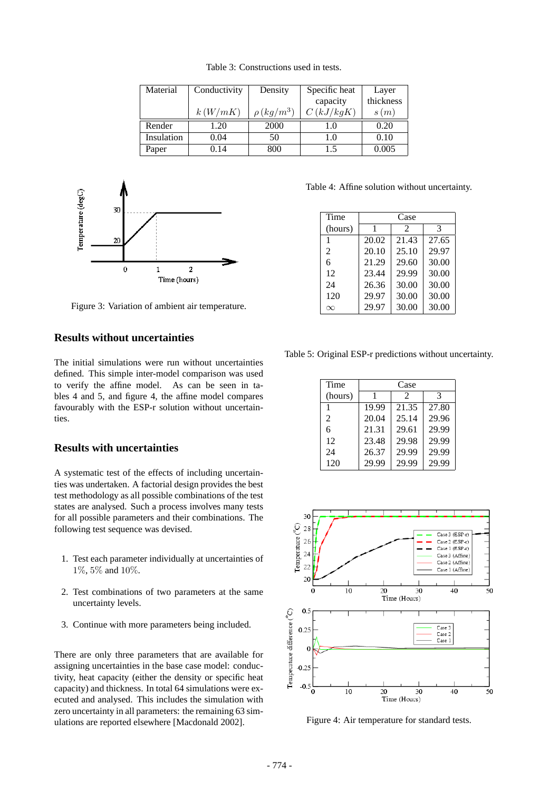Table 3: Constructions used in tests.

| Material   | Conductivity | Density         | Specific heat | Layer     |
|------------|--------------|-----------------|---------------|-----------|
|            |              |                 | capacity      | thickness |
|            | k(W/mK)      | $\rho (kg/m^3)$ | C(kJ/kgK)     | s(m)      |
| Render     | 1.20         | 2000            | 1.0           | 0.20      |
| Insulation | 0.04         | 50              | 1.0           | 0.10      |
| Paper      | 0.14         | 800             | 1.5           | 0.005     |



Figure 3: Variation of ambient air temperature.

# **Results without uncertainties**

The initial simulations were run without uncertainties defined. This simple inter-model comparison was used to verify the affine model. As can be seen in tables 4 and 5, and figure 4, the affine model compares favourably with the ESP-r solution without uncertainties.

#### **Results with uncertainties**

A systematic test of the effects of including uncertainties was undertaken. A factorial design provides the best test methodology as all possible combinations of the test states are analysed. Such a process involves many tests for all possible parameters and their combinations. The following test sequence was devised.

- 1. Test each parameter individually at uncertainties of 1%, 5% and 10%.
- 2. Test combinations of two parameters at the same uncertainty levels.
- 3. Continue with more parameters being included.

There are only three parameters that are available for assigning uncertainties in the base case model: conductivity, heat capacity (either the density or specific heat capacity) and thickness. In total 64 simulations were executed and analysed. This includes the simulation with zero uncertainty in all parameters: the remaining 63 simulations are reported elsewhere [Macdonald 2002].

Table 4: Affine solution without uncertainty.

| Time           | Case  |                             |       |  |
|----------------|-------|-----------------------------|-------|--|
| (hours)        |       | $\mathcal{D}_{\mathcal{A}}$ | 3     |  |
|                | 20.02 | 21.43                       | 27.65 |  |
| $\mathfrak{D}$ | 20.10 | 25.10                       | 29.97 |  |
| 6              | 21.29 | 29.60                       | 30.00 |  |
| 12             | 23.44 | 29.99                       | 30.00 |  |
| 24             | 26.36 | 30.00                       | 30.00 |  |
| 120            | 29.97 | 30.00                       | 30.00 |  |
| $\infty$       | 29.97 | 30.00                       | 30.00 |  |

Table 5: Original ESP-r predictions without uncertainty.

| Time           | Case  |       |       |  |
|----------------|-------|-------|-------|--|
| (hours)        |       | 2     | 3     |  |
|                | 19.99 | 21.35 | 27.80 |  |
| $\mathfrak{D}$ | 20.04 | 25.14 | 29.96 |  |
| 6              | 21.31 | 29.61 | 29.99 |  |
| 12             | 23.48 | 29.98 | 29.99 |  |
| 24             | 26.37 | 29.99 | 29.99 |  |
| 120            | 29.99 | 29.99 | 29.99 |  |



Figure 4: Air temperature for standard tests.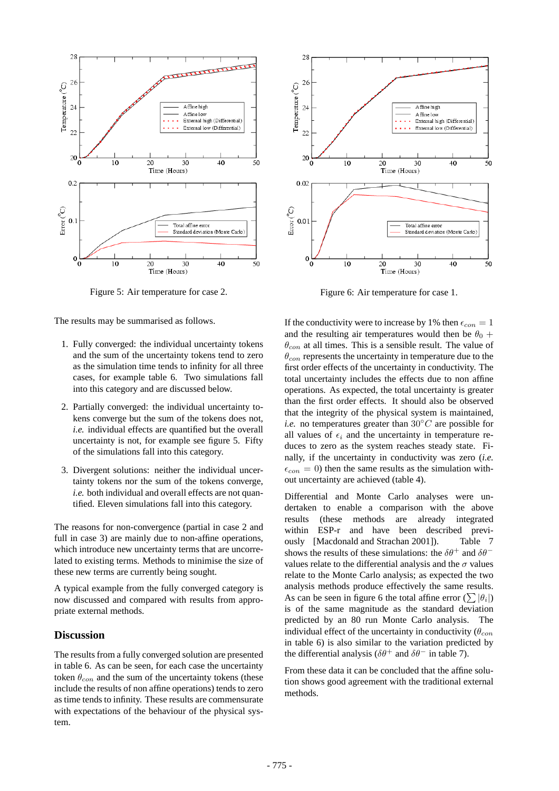

Figure 5: Air temperature for case 2.

The results may be summarised as follows.

- 1. Fully converged: the individual uncertainty tokens and the sum of the uncertainty tokens tend to zero as the simulation time tends to infinity for all three cases, for example table 6. Two simulations fall into this category and are discussed below.
- 2. Partially converged: the individual uncertainty tokens converge but the sum of the tokens does not, *i.e.* individual effects are quantified but the overall uncertainty is not, for example see figure 5. Fifty of the simulations fall into this category.
- 3. Divergent solutions: neither the individual uncertainty tokens nor the sum of the tokens converge, *i.e.* both individual and overall effects are not quantified. Eleven simulations fall into this category.

The reasons for non-convergence (partial in case 2 and full in case 3) are mainly due to non-affine operations, which introduce new uncertainty terms that are uncorrelated to existing terms. Methods to minimise the size of these new terms are currently being sought.

A typical example from the fully converged category is now discussed and compared with results from appropriate external methods.

# **Discussion**

The results from a fully converged solution are presented in table 6. As can be seen, for each case the uncertainty token  $\theta_{con}$  and the sum of the uncertainty tokens (these include the results of non affine operations) tends to zero as time tends to infinity. These results are commensurate with expectations of the behaviour of the physical system.



Figure 6: Air temperature for case 1.

If the conductivity were to increase by 1% then  $\epsilon_{con} = 1$ and the resulting air temperatures would then be  $\theta_0$  +  $\theta_{con}$  at all times. This is a sensible result. The value of  $\theta_{con}$  represents the uncertainty in temperature due to the first order effects of the uncertainty in conductivity. The total uncertainty includes the effects due to non affine operations. As expected, the total uncertainty is greater than the first order effects. It should also be observed that the integrity of the physical system is maintained, *i.e.* no temperatures greater than  $30\degree C$  are possible for all values of  $\epsilon_i$  and the uncertainty in temperature reduces to zero as the system reaches steady state. Finally, if the uncertainty in conductivity was zero (*i.e.*  $\epsilon_{con} = 0$ ) then the same results as the simulation without uncertainty are achieved (table 4).

Differential and Monte Carlo analyses were undertaken to enable a comparison with the above results (these methods are already integrated within ESP-r and have been described previously [Macdonald and Strachan 2001]). Table 7 shows the results of these simulations: the  $\delta\theta^+$  and  $\delta\theta^$ values relate to the differential analysis and the  $\sigma$  values relate to the Monte Carlo analysis; as expected the two analysis methods produce effectively the same results. As can be seen in figure 6 the total affine error  $(\sum |\theta_i|)$ is of the same magnitude as the standard deviation predicted by an 80 run Monte Carlo analysis. The individual effect of the uncertainty in conductivity ( $\theta_{con}$ in table 6) is also similar to the variation predicted by the differential analysis ( $\delta\theta^+$  and  $\delta\theta^-$  in table 7).

From these data it can be concluded that the affine solution shows good agreement with the traditional external methods.